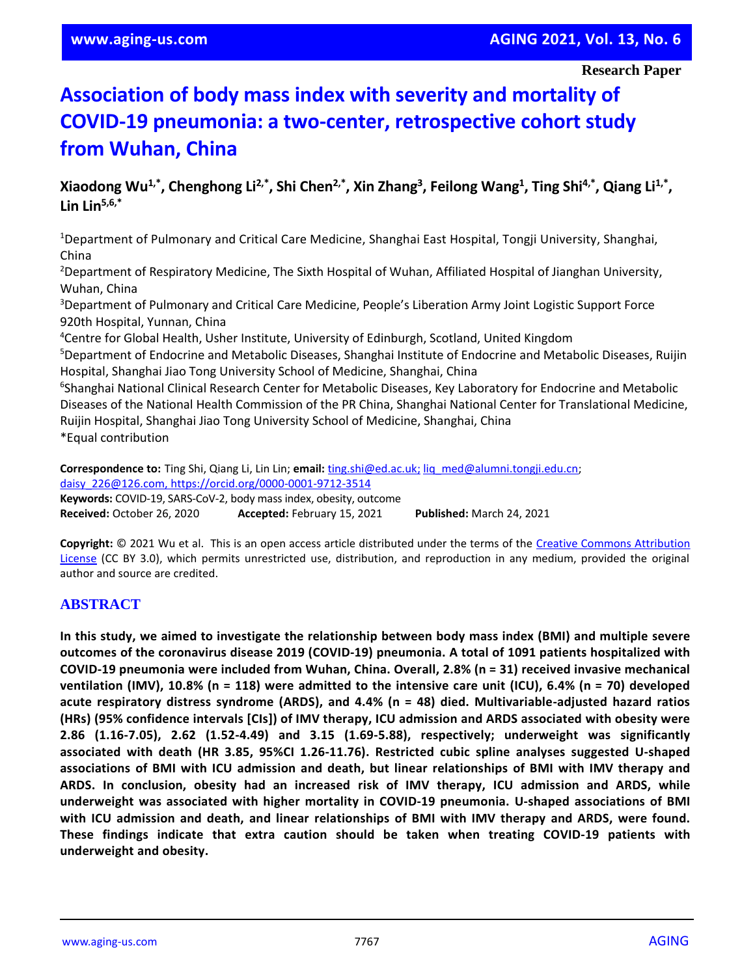# **Association of body mass index with severity and mortality of COVID-19 pneumonia: a two-center, retrospective cohort study from Wuhan, China**

**Xiaodong Wu1,\* , Chenghong Li2,\* , Shi Chen2,\* , Xin Zhang<sup>3</sup> , Feilong Wang<sup>1</sup> , Ting Shi4,\*, Qiang Li1,\* , Lin Lin5,6,\***

<sup>1</sup>Department of Pulmonary and Critical Care Medicine, Shanghai East Hospital, Tongji University, Shanghai, China

<sup>2</sup>Department of Respiratory Medicine, The Sixth Hospital of Wuhan, Affiliated Hospital of Jianghan University, Wuhan, China

<sup>3</sup>Department of Pulmonary and Critical Care Medicine, People's Liberation Army Joint Logistic Support Force 920th Hospital, Yunnan, China

<sup>4</sup>Centre for Global Health, Usher Institute, University of Edinburgh, Scotland, United Kingdom

<sup>5</sup>Department of Endocrine and Metabolic Diseases, Shanghai Institute of Endocrine and Metabolic Diseases, Ruijin Hospital, Shanghai Jiao Tong University School of Medicine, Shanghai, China

<sup>6</sup>Shanghai National Clinical Research Center for Metabolic Diseases, Key Laboratory for Endocrine and Metabolic Diseases of the National Health Commission of the PR China, Shanghai National Center for Translational Medicine, Ruijin Hospital, Shanghai Jiao Tong University School of Medicine, Shanghai, China \*Equal contribution

**Correspondence to:** Ting Shi, Qiang Li, Lin Lin; **email:** [ting.shi@ed.ac.uk;](mailto:ting.shi@ed.ac.uk) [liq\\_med@alumni.tongji.edu.cn;](mailto:liq_med@alumni.tongji.edu.cn) [daisy\\_226@126.com,](mailto:daisy_226@126.com)<https://orcid.org/0000-0001-9712-3514> **Keywords:** COVID-19, SARS-CoV-2, body mass index, obesity, outcome **Received:** October 26, 2020 **Accepted:** February 15, 2021 **Published:** March 24, 2021

**Copyright:** © 2021 Wu et al. This is an open access article distributed under the terms of the [Creative Commons Attribution](https://creativecommons.org/licenses/by/3.0/)  [License](https://creativecommons.org/licenses/by/3.0/) (CC BY 3.0), which permits unrestricted use, distribution, and reproduction in any medium, provided the original author and source are credited.

## **ABSTRACT**

**In this study, we aimed to investigate the relationship between body mass index (BMI) and multiple severe outcomes of the coronavirus disease 2019 (COVID-19) pneumonia. A total of 1091 patients hospitalized with COVID-19 pneumonia were included from Wuhan, China. Overall, 2.8% (n = 31) received invasive mechanical** ventilation (IMV), 10.8% (n = 118) were admitted to the intensive care unit (ICU), 6.4% (n = 70) developed **acute respiratory distress syndrome (ARDS), and 4.4% (n = 48) died. Multivariable-adjusted hazard ratios (HRs) (95% confidence intervals [CIs]) of IMV therapy, ICU admission and ARDS associated with obesity were 2.86 (1.16-7.05), 2.62 (1.52-4.49) and 3.15 (1.69-5.88), respectively; underweight was significantly associated with death (HR 3.85, 95%CI 1.26-11.76). Restricted cubic spline analyses suggested U-shaped associations of BMI with ICU admission and death, but linear relationships of BMI with IMV therapy and ARDS. In conclusion, obesity had an increased risk of IMV therapy, ICU admission and ARDS, while underweight was associated with higher mortality in COVID-19 pneumonia. U-shaped associations of BMI with ICU admission and death, and linear relationships of BMI with IMV therapy and ARDS, were found. These findings indicate that extra caution should be taken when treating COVID-19 patients with underweight and obesity.**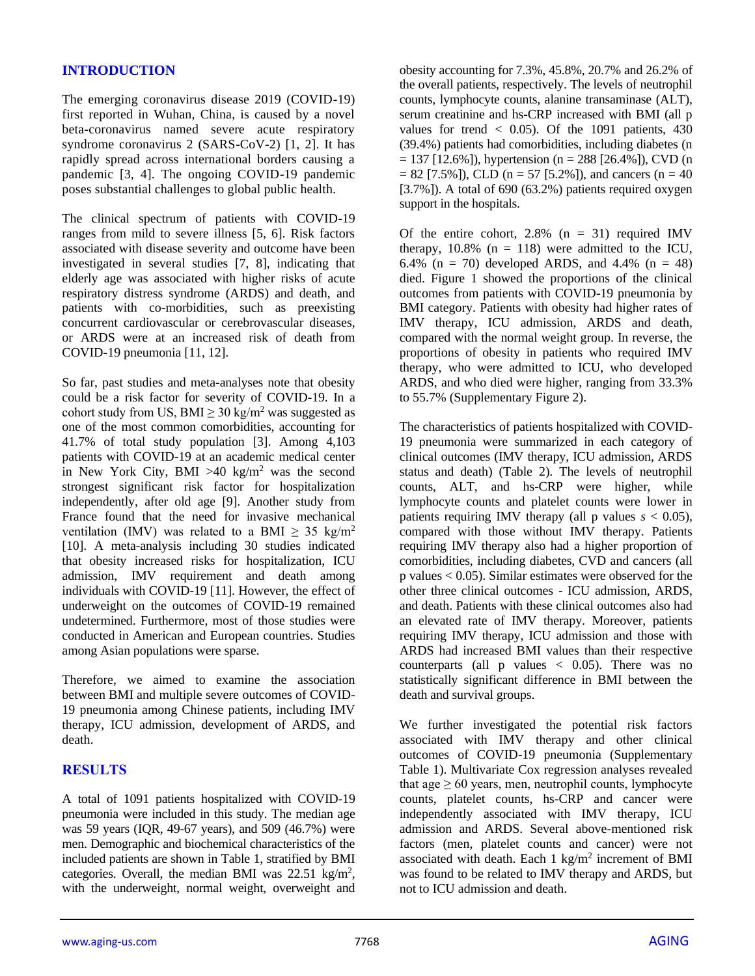## **INTRODUCTION**

The emerging coronavirus disease 2019 (COVID-19) first reported in Wuhan, China, is caused by a novel beta-coronavirus named severe acute respiratory syndrome coronavirus 2 (SARS-CoV-2) [1, 2]. It has rapidly spread across international borders causing a pandemic [3, 4]. The ongoing COVID-19 pandemic poses substantial challenges to global public health.

The clinical spectrum of patients with COVID-19 ranges from mild to severe illness [5, 6]. Risk factors associated with disease severity and outcome have been investigated in several studies [7, 8], indicating that elderly age was associated with higher risks of acute respiratory distress syndrome (ARDS) and death, and patients with co-morbidities, such as preexisting concurrent cardiovascular or cerebrovascular diseases, or ARDS were at an increased risk of death from COVID-19 pneumonia [11, 12].

So far, past studies and meta-analyses note that obesity could be a risk factor for severity of COVID-19. In a cohort study from US, BMI  $\geq$  30 kg/m<sup>2</sup> was suggested as one of the most common comorbidities, accounting for 41.7% of total study population [3]. Among 4,103 patients with COVID-19 at an academic medical center in New York City, BMI  $>40$  kg/m<sup>2</sup> was the second strongest significant risk factor for hospitalization independently, after old age [9]. Another study from France found that the need for invasive mechanical ventilation (IMV) was related to a BMI  $\geq$  35 kg/m<sup>2</sup> [10]. A meta-analysis including 30 studies indicated that obesity increased risks for hospitalization, ICU admission, IMV requirement and death among individuals with COVID-19 [11]. However, the effect of underweight on the outcomes of COVID-19 remained undetermined. Furthermore, most of those studies were conducted in American and European countries. Studies among Asian populations were sparse.

Therefore, we aimed to examine the association between BMI and multiple severe outcomes of COVID-19 pneumonia among Chinese patients, including IMV therapy, ICU admission, development of ARDS, and death.

## **RESULTS**

A total of 1091 patients hospitalized with COVID-19 pneumonia were included in this study. The median age was 59 years (IQR, 49-67 years), and 509 (46.7%) were men. Demographic and biochemical characteristics of the included patients are shown in Table 1, stratified by BMI categories. Overall, the median BMI was  $22.51 \text{ kg/m}^2$ , with the underweight, normal weight, overweight and

obesity accounting for 7.3%, 45.8%, 20.7% and 26.2% of the overall patients, respectively. The levels of neutrophil counts, lymphocyte counts, alanine transaminase (ALT), serum creatinine and hs-CRP increased with BMI (all p values for trend  $< 0.05$ ). Of the 1091 patients, 430 (39.4%) patients had comorbidities, including diabetes (n  $= 137$  [12.6%]), hypertension (n = 288 [26.4%]), CVD (n  $= 82$  [7.5%]), CLD (n = 57 [5.2%]), and cancers (n = 40)  $[3.7\%]$ ). A total of 690 (63.2%) patients required oxygen support in the hospitals.

Of the entire cohort,  $2.8\%$  (n = 31) required IMV therapy,  $10.8\%$  (n = 118) were admitted to the ICU, 6.4% ( $n = 70$ ) developed ARDS, and 4.4% ( $n = 48$ ) died. Figure 1 showed the proportions of the clinical outcomes from patients with COVID-19 pneumonia by BMI category. Patients with obesity had higher rates of IMV therapy, ICU admission, ARDS and death, compared with the normal weight group. In reverse, the proportions of obesity in patients who required IMV therapy, who were admitted to ICU, who developed ARDS, and who died were higher, ranging from 33.3% to 55.7% (Supplementary Figure 2).

The characteristics of patients hospitalized with COVID-19 pneumonia were summarized in each category of clinical outcomes (IMV therapy, ICU admission, ARDS status and death) (Table 2). The levels of neutrophil counts, ALT, and hs-CRP were higher, while lymphocyte counts and platelet counts were lower in patients requiring IMV therapy (all p values  $s < 0.05$ ), compared with those without IMV therapy. Patients requiring IMV therapy also had a higher proportion of comorbidities, including diabetes, CVD and cancers (all p values < 0.05). Similar estimates were observed for the other three clinical outcomes - ICU admission, ARDS, and death. Patients with these clinical outcomes also had an elevated rate of IMV therapy. Moreover, patients requiring IMV therapy, ICU admission and those with ARDS had increased BMI values than their respective counterparts (all  $p$  values  $\lt$  0.05). There was no statistically significant difference in BMI between the death and survival groups.

We further investigated the potential risk factors associated with IMV therapy and other clinical outcomes of COVID-19 pneumonia (Supplementary Table 1). Multivariate Cox regression analyses revealed that age  $\geq 60$  years, men, neutrophil counts, lymphocyte counts, platelet counts, hs-CRP and cancer were independently associated with IMV therapy, ICU admission and ARDS. Several above-mentioned risk factors (men, platelet counts and cancer) were not associated with death. Each  $1 \text{ kg/m}^2$  increment of BMI was found to be related to IMV therapy and ARDS, but not to ICU admission and death.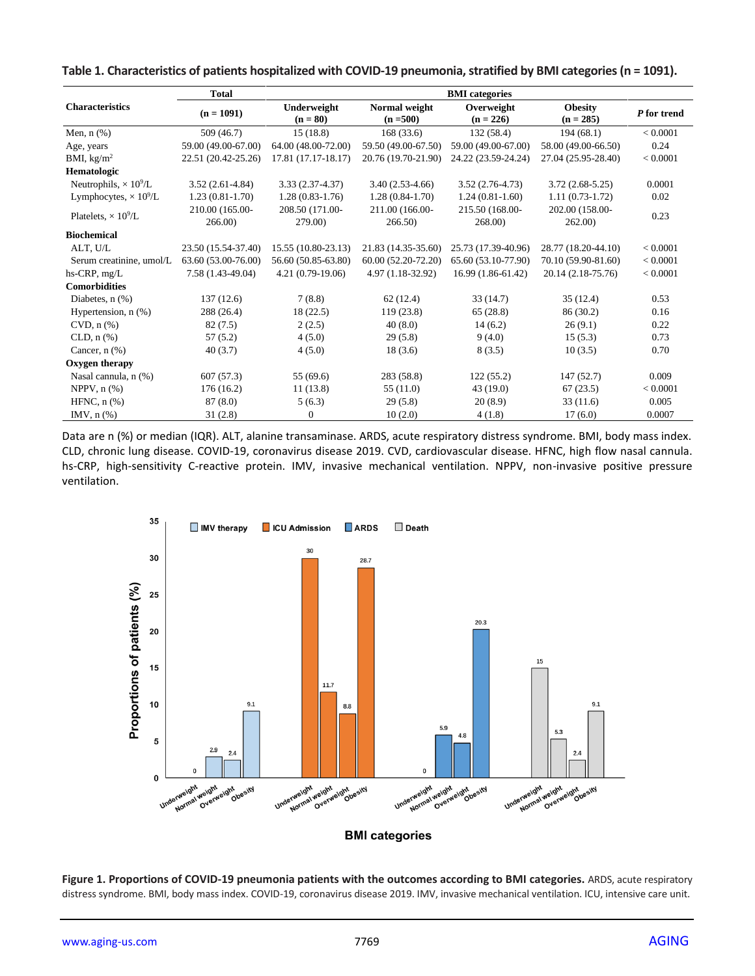|                                          | <b>Total</b>        |                     | <b>BMI</b> categories |                     |                     |             |  |  |
|------------------------------------------|---------------------|---------------------|-----------------------|---------------------|---------------------|-------------|--|--|
| <b>Characteristics</b>                   | $(n = 1091)$        | Underweight         | Normal weight         | Overweight          | <b>Obesity</b>      | P for trend |  |  |
|                                          |                     | $(n = 80)$          | $(n = 500)$           | $(n = 226)$         | $(n = 285)$         |             |  |  |
| Men, $n$ $(\%)$                          | 509 (46.7)          | 15(18.8)            | 168(33.6)             | 132(58.4)           | 194(68.1)           | < 0.0001    |  |  |
| Age, years                               | 59.00 (49.00-67.00) | 64.00 (48.00-72.00) | 59.50 (49.00-67.50)   | 59.00 (49.00-67.00) | 58.00 (49.00-66.50) | 0.24        |  |  |
| BMI, $\text{kg/m}^2$                     | 22.51 (20.42-25.26) | 17.81 (17.17-18.17) | 20.76 (19.70-21.90)   | 24.22 (23.59-24.24) | 27.04 (25.95-28.40) | < 0.0001    |  |  |
| Hematologic                              |                     |                     |                       |                     |                     |             |  |  |
| Neutrophils, $\times 10^9$ /L            | $3.52(2.61-4.84)$   | $3.33(2.37-4.37)$   | $3.40(2.53-4.66)$     | $3.52(2.76-4.73)$   | $3.72(2.68-5.25)$   | 0.0001      |  |  |
| Lymphocytes, $\times$ 10 <sup>9</sup> /L | $1.23(0.81-1.70)$   | $1.28(0.83-1.76)$   | $1.28(0.84-1.70)$     | $1.24(0.81-1.60)$   | $1.11(0.73-1.72)$   | 0.02        |  |  |
| Platelets, $\times 10^9$ /L              | 210.00 (165.00-     | 208.50 (171.00-     | 211.00 (166.00-       | 215.50 (168.00-     | 202.00 (158.00-     | 0.23        |  |  |
|                                          | 266.00              | 279.00)             | 266.50)               | 268.00)             | 262.00)             |             |  |  |
| <b>Biochemical</b>                       |                     |                     |                       |                     |                     |             |  |  |
| ALT, U/L                                 | 23.50 (15.54-37.40) | 15.55 (10.80-23.13) | 21.83 (14.35-35.60)   | 25.73 (17.39-40.96) | 28.77 (18.20-44.10) | < 0.0001    |  |  |
| Serum creatinine, umol/L                 | 63.60 (53.00-76.00) | 56.60 (50.85-63.80) | 60.00 (52.20-72.20)   | 65.60 (53.10-77.90) | 70.10 (59.90-81.60) | < 0.0001    |  |  |
| $hs-CRP, mg/L$                           | 7.58 (1.43-49.04)   | $4.21(0.79-19.06)$  | 4.97 (1.18-32.92)     | 16.99 (1.86-61.42)  | 20.14 (2.18-75.76)  | < 0.0001    |  |  |
| <b>Comorbidities</b>                     |                     |                     |                       |                     |                     |             |  |  |
| Diabetes, $n$ $(\%)$                     | 137(12.6)           | 7(8.8)              | 62(12.4)              | 33(14.7)            | 35(12.4)            | 0.53        |  |  |
| Hypertension, $n$ $(\%)$                 | 288 (26.4)          | 18(22.5)            | 119(23.8)             | 65(28.8)            | 86 (30.2)           | 0.16        |  |  |
| $CVD$ , $n$ $%$ )                        | 82(7.5)             | 2(2.5)              | 40(8.0)               | 14(6.2)             | 26(9.1)             | 0.22        |  |  |
| CLD, $n$ $%$                             | 57(5.2)             | 4(5.0)              | 29(5.8)               | 9(4.0)              | 15(5.3)             | 0.73        |  |  |
| Cancer, $n$ $(\%)$                       | 40(3.7)             | 4(5.0)              | 18(3.6)               | 8(3.5)              | 10(3.5)             | 0.70        |  |  |
| Oxygen therapy                           |                     |                     |                       |                     |                     |             |  |  |
| Nasal cannula, n (%)                     | 607(57.3)           | 55 (69.6)           | 283 (58.8)            | 122(55.2)           | 147(52.7)           | 0.009       |  |  |
| NPPV, $n$ $(\%)$                         | 176(16.2)           | 11(13.8)            | 55 (11.0)             | 43(19.0)            | 67(23.5)            | < 0.0001    |  |  |
| HFNC, $n$ $%$                            | 87(8.0)             | 5(6.3)              | 29(5.8)               | 20(8.9)             | 33(11.6)            | 0.005       |  |  |
| IMV, $n$ $%$                             | 31(2.8)             | $\overline{0}$      | 10(2.0)               | 4(1.8)              | 17(6.0)             | 0.0007      |  |  |

#### **Table 1. Characteristics of patients hospitalized with COVID-19 pneumonia, stratified by BMI categories (n = 1091).**

Data are n (%) or median (IQR). ALT, alanine transaminase. ARDS, acute respiratory distress syndrome. BMI, body mass index. CLD, chronic lung disease. COVID-19, coronavirus disease 2019. CVD, cardiovascular disease. HFNC, high flow nasal cannula. hs-CRP, high-sensitivity C-reactive protein. IMV, invasive mechanical ventilation. NPPV, non-invasive positive pressure ventilation.



Figure 1. Proportions of COVID-19 pneumonia patients with the outcomes according to BMI categories. ARDS, acute respiratory distress syndrome. BMI, body mass index. COVID-19, coronavirus disease 2019. IMV, invasive mechanical ventilation. ICU, intensive care unit.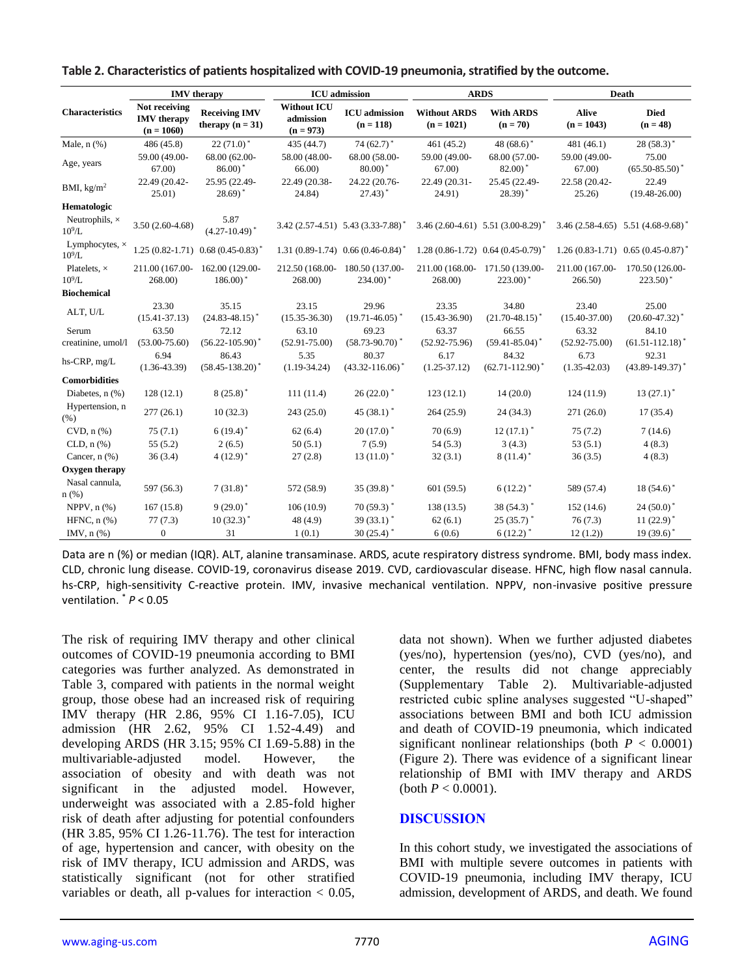| <b>IMV</b> therapy                 |                                                     |                                            | <b>ICU</b> admission                           |                                                | <b>ARDS</b>                         |                                                         | Death                        |                                          |
|------------------------------------|-----------------------------------------------------|--------------------------------------------|------------------------------------------------|------------------------------------------------|-------------------------------------|---------------------------------------------------------|------------------------------|------------------------------------------|
| <b>Characteristics</b>             | Not receiving<br><b>IMV</b> therapy<br>$(n = 1060)$ | <b>Receiving IMV</b><br>therapy $(n = 31)$ | <b>Without ICU</b><br>admission<br>$(n = 973)$ | <b>ICU</b> admission<br>$(n = 118)$            | <b>Without ARDS</b><br>$(n = 1021)$ | <b>With ARDS</b><br>$(n = 70)$                          | <b>Alive</b><br>$(n = 1043)$ | <b>Died</b><br>$(n = 48)$                |
| Male, $n$ $%$ )                    | 486 (45.8)                                          | $22(71.0)^*$                               | 435 (44.7)                                     | 74 $(62.7)$ <sup>*</sup>                       | 461 (45.2)                          | 48 $(68.6)$ <sup>*</sup>                                | 481 (46.1)                   | $28(58.3)^*$                             |
| Age, years                         | 59.00 (49.00-                                       | 68.00 (62.00-                              | 58.00 (48.00-                                  | 68.00 (58.00-                                  | 59.00 (49.00-                       | 68.00 (57.00-                                           | 59.00 (49.00-                | 75.00                                    |
|                                    | 67.00                                               | $86.00$ <sup>*</sup>                       | 66.00                                          | $80.00$ <sup>*</sup>                           | 67.00)                              | $82.00$ <sup>*</sup>                                    | 67.00)                       | $(65.50 - 85.50)^*$                      |
| BMI, $kg/m2$                       | 22.49 (20.42-<br>25.01)                             | 25.95 (22.49-<br>$28.69$ <sup>*</sup>      | 22.49 (20.38-<br>24.84)                        | 24.22 (20.76-<br>$27.43$ <sup>*</sup>          | 22.49 (20.31-<br>24.91)             | 25.45 (22.49-<br>$28.39$ <sup>*</sup>                   | 22.58 (20.42-<br>25.26       | 22.49<br>$(19.48 - 26.00)$               |
| Hematologic                        |                                                     |                                            |                                                |                                                |                                     |                                                         |                              |                                          |
| Neutrophils, $\times$<br>$10^9$ /L | $3.50(2.60-4.68)$                                   | 5.87<br>$(4.27-10.49)^*$                   |                                                | 3.42 (2.57-4.51) 5.43 (3.33-7.88) <sup>*</sup> |                                     | $3.46(2.60-4.61)$ $5.51(3.00-8.29)^*$                   |                              | $3.46(2.58-4.65)$ $5.51(4.68-9.68)^*$    |
| Lymphocytes, $\times$<br>$10^9$ L  |                                                     | $1.25(0.82 - 1.71)0.68(0.45 - 0.83)^*$     |                                                | $1.31(0.89-1.74)0.66(0.46-0.84)$ <sup>*</sup>  |                                     | $1.28(0.86-1.72)$ 0.64 $(0.45-0.79)$ <sup>*</sup>       |                              | $1.26(0.83-1.71)$ $0.65(0.45-0.87)^*$    |
| Platelets, $\times$<br>$10^9$ /L   | 211.00 (167.00-<br>268.00)                          | 162.00 (129.00-<br>$186.00$ <sup>*</sup>   | 212.50 (168.00-<br>268.00                      | 180.50 (137.00-<br>$234.00$ <sup>*</sup>       | 268.00                              | 211.00 (168.00-171.50 (139.00-<br>$223.00$ <sup>*</sup> | 211.00 (167.00-<br>266.50    | 170.50 (126.00-<br>$223.50$ <sup>*</sup> |
| <b>Biochemical</b>                 |                                                     |                                            |                                                |                                                |                                     |                                                         |                              |                                          |
| ALT, U/L                           | 23.30<br>$(15.41 - 37.13)$                          | 35.15<br>$(24.83 - 48.15)^*$               | 23.15<br>$(15.35 - 36.30)$                     | 29.96<br>$(19.71 - 46.05)^*$                   | 23.35<br>$(15.43 - 36.90)$          | 34.80<br>$(21.70 - 48.15)^*$                            | 23.40<br>$(15.40 - 37.00)$   | 25.00<br>$(20.60 - 47.32)^*$             |
| Serum                              | 63.50                                               | 72.12                                      | 63.10                                          | 69.23                                          | 63.37                               | 66.55                                                   | 63.32                        | 84.10                                    |
| creatinine, umol/l                 | $(53.00 - 75.60)$                                   | $(56.22 - 105.90)^*$                       | $(52.91 - 75.00)$                              | $(58.73 - 90.70)$ <sup>*</sup>                 | $(52.92 - 75.96)$                   | $(59.41 - 85.04)^*$                                     | $(52.92 - 75.00)$            | $(61.51 - 112.18)^*$                     |
| hs-CRP, mg/L                       | 6.94<br>$(1.36 - 43.39)$                            | 86.43<br>$(58.45 - 138.20)^*$              | 5.35<br>$(1.19 - 34.24)$                       | 80.37<br>$(43.32 - 116.06)^*$                  | 6.17<br>$(1.25 - 37.12)$            | 84.32<br>$(62.71 - 112.90)^*$                           | 6.73<br>$(1.35 - 42.03)$     | 92.31<br>$(43.89 - 149.37)^*$            |
| <b>Comorbidities</b>               |                                                     |                                            |                                                |                                                |                                     |                                                         |                              |                                          |
| Diabetes, $n$ $(\%)$               | 128(12.1)                                           | $8(25.8)^*$                                | 111(11.4)                                      | $26(22.0)^*$                                   | 123(12.1)                           | 14(20.0)                                                | 124(11.9)                    | $13(27.1)^*$                             |
| Hypertension, n<br>(% )            | 277(26.1)                                           | 10(32.3)                                   | 243(25.0)                                      | 45 $(38.1)$ <sup>*</sup>                       | 264(25.9)                           | 24(34.3)                                                | 271(26.0)                    | 17(35.4)                                 |
| $CVD$ , $n$ $(\%)$                 | 75(7.1)                                             | $6(19.4)^*$                                | 62(6.4)                                        | $20(17.0)$ <sup>*</sup>                        | 70(6.9)                             | $12(17.1)$ <sup>*</sup>                                 | 75(7.2)                      | 7(14.6)                                  |
| $CLD, n(\%)$                       | 55(5.2)                                             | 2(6.5)                                     | 50(5.1)                                        | 7(5.9)                                         | 54(5.3)                             | 3(4.3)                                                  | 53(5.1)                      | 4(8.3)                                   |
| Cancer, $n$ $(\%)$                 | 36(3.4)                                             | $4(12.9)^*$                                | 27(2.8)                                        | $13(11.0)^*$                                   | 32(3.1)                             | $8(11.4)^*$                                             | 36(3.5)                      | 4(8.3)                                   |
| Oxygen therapy                     |                                                     |                                            |                                                |                                                |                                     |                                                         |                              |                                          |
| Nasal cannula,<br>$n$ (%)          | 597 (56.3)                                          | $7(31.8)^*$                                | 572 (58.9)                                     | 35 $(39.8)^*$                                  | 601(59.5)                           | $6(12.2)^*$                                             | 589 (57.4)                   | $18(54.6)$ <sup>*</sup>                  |
| NPPV, $n$ $%$                      | 167(15.8)                                           | $9(29.0)^*$                                | 106(10.9)                                      | $70(59.3)^*$                                   | 138(13.5)                           | $38(54.3)^*$                                            | 152(14.6)                    | $24(50.0)^*$                             |
| HFNC, $n$ $%$                      | 77(7.3)                                             | $10(32.3)^*$                               | 48 (4.9)                                       | 39 $(33.1)$ <sup>*</sup>                       | 62(6.1)                             | $25(35.7)$ <sup>*</sup>                                 | 76(7.3)                      | $11(22.9)^*$                             |
| IMV, $n$ $%$                       | $\boldsymbol{0}$                                    | 31                                         | 1(0.1)                                         | $30(25.4)$ <sup>*</sup>                        | 6(0.6)                              | $6(12.2)^*$                                             | 12(1.2)                      | $19(39.6)^*$                             |

**Table 2. Characteristics of patients hospitalized with COVID-19 pneumonia, stratified by the outcome.**

Data are n (%) or median (IQR). ALT, alanine transaminase. ARDS, acute respiratory distress syndrome. BMI, body mass index. CLD, chronic lung disease. COVID-19, coronavirus disease 2019. CVD, cardiovascular disease. HFNC, high flow nasal cannula. hs-CRP, high-sensitivity C-reactive protein. IMV, invasive mechanical ventilation. NPPV, non-invasive positive pressure ventilation. \* *P* < 0.05

The risk of requiring IMV therapy and other clinical outcomes of COVID-19 pneumonia according to BMI categories was further analyzed. As demonstrated in Table 3, compared with patients in the normal weight group, those obese had an increased risk of requiring IMV therapy (HR 2.86, 95% CI 1.16-7.05), ICU admission (HR 2.62, 95% CI 1.52-4.49) and developing ARDS (HR 3.15; 95% CI 1.69-5.88) in the multivariable-adjusted model. However, the association of obesity and with death was not significant in the adjusted model. However, underweight was associated with a 2.85-fold higher risk of death after adjusting for potential confounders (HR 3.85, 95% CI 1.26-11.76). The test for interaction of age, hypertension and cancer, with obesity on the risk of IMV therapy, ICU admission and ARDS, was statistically significant (not for other stratified variables or death, all p-values for interaction  $< 0.05$ ,

data not shown). When we further adjusted diabetes (yes/no), hypertension (yes/no), CVD (yes/no), and center, the results did not change appreciably (Supplementary Table 2). Multivariable-adjusted restricted cubic spline analyses suggested "U-shaped" associations between BMI and both ICU admission and death of COVID-19 pneumonia, which indicated significant nonlinear relationships (both  $P < 0.0001$ ) (Figure 2). There was evidence of a significant linear relationship of BMI with IMV therapy and ARDS (both  $P < 0.0001$ ).

#### **DISCUSSION**

In this cohort study, we investigated the associations of BMI with multiple severe outcomes in patients with COVID-19 pneumonia, including IMV therapy, ICU admission, development of ARDS, and death. We found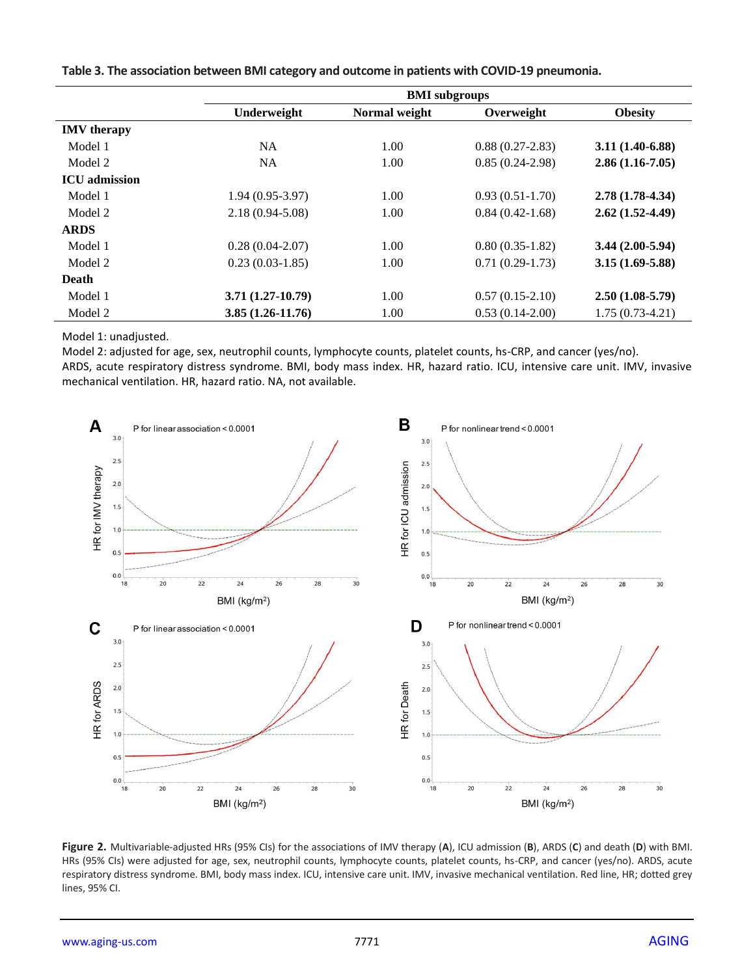|                      | <b>BMI</b> subgroups |               |                   |                   |  |  |
|----------------------|----------------------|---------------|-------------------|-------------------|--|--|
|                      | Underweight          | Normal weight | Overweight        | <b>Obesity</b>    |  |  |
| <b>IMV</b> therapy   |                      |               |                   |                   |  |  |
| Model 1              | <b>NA</b>            | 1.00          | $0.88(0.27-2.83)$ | $3.11(1.40-6.88)$ |  |  |
| Model 2              | <b>NA</b>            | 1.00          | $0.85(0.24-2.98)$ | $2.86(1.16-7.05)$ |  |  |
| <b>ICU</b> admission |                      |               |                   |                   |  |  |
| Model 1              | $1.94(0.95-3.97)$    | 1.00          | $0.93(0.51-1.70)$ | $2.78(1.78-4.34)$ |  |  |
| Model 2              | $2.18(0.94 - 5.08)$  | 1.00          | $0.84(0.42-1.68)$ | $2.62(1.52-4.49)$ |  |  |
| <b>ARDS</b>          |                      |               |                   |                   |  |  |
| Model 1              | $0.28(0.04-2.07)$    | 1.00          | $0.80(0.35-1.82)$ | $3.44(2.00-5.94)$ |  |  |
| Model 2              | $0.23(0.03-1.85)$    | 1.00          | $0.71(0.29-1.73)$ | $3.15(1.69-5.88)$ |  |  |
| Death                |                      |               |                   |                   |  |  |
| Model 1              | $3.71(1.27-10.79)$   | 1.00          | $0.57(0.15-2.10)$ | $2.50(1.08-5.79)$ |  |  |
| Model 2              | $3.85(1.26-11.76)$   | 1.00          | $0.53(0.14-2.00)$ | $1.75(0.73-4.21)$ |  |  |

**Table 3. The association between BMI category and outcome in patients with COVID-19 pneumonia.**

Model 1: unadjusted.

Model 2: adjusted for age, sex, neutrophil counts, lymphocyte counts, platelet counts, hs-CRP, and cancer (yes/no). ARDS, acute respiratory distress syndrome. BMI, body mass index. HR, hazard ratio. ICU, intensive care unit. IMV, invasive mechanical ventilation. HR, hazard ratio. NA, not available.



**Figure 2.** Multivariable-adjusted HRs (95% CIs) for the associations of IMV therapy (**A**), ICU admission (**B**), ARDS (**C**) and death (**D**) with BMI. HRs (95% CIs) were adjusted for age, sex, neutrophil counts, lymphocyte counts, platelet counts, hs-CRP, and cancer (yes/no). ARDS, acute respiratory distress syndrome. BMI, body mass index. ICU, intensive care unit. IMV, invasive mechanical ventilation. Red line, HR; dotted grey lines, 95% CI.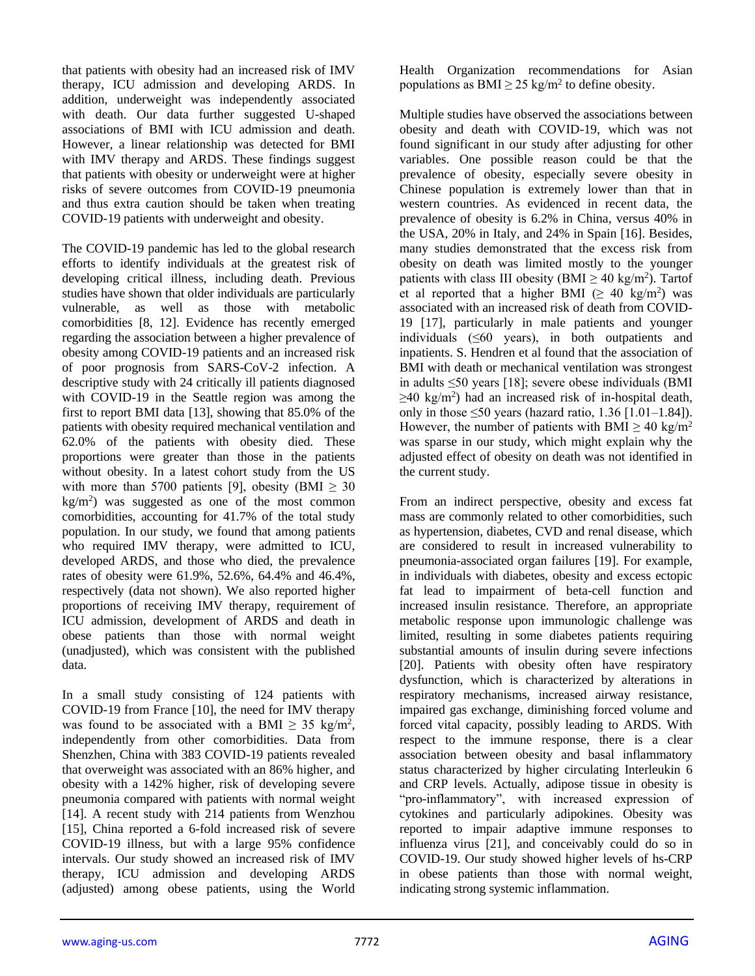that patients with obesity had an increased risk of IMV therapy, ICU admission and developing ARDS. In addition, underweight was independently associated with death. Our data further suggested U-shaped associations of BMI with ICU admission and death. However, a linear relationship was detected for BMI with IMV therapy and ARDS. These findings suggest that patients with obesity or underweight were at higher risks of severe outcomes from COVID-19 pneumonia and thus extra caution should be taken when treating COVID-19 patients with underweight and obesity.

The COVID-19 pandemic has led to the global research efforts to identify individuals at the greatest risk of developing critical illness, including death. Previous studies have shown that older individuals are particularly vulnerable, as well as those with metabolic comorbidities [8, 12]. Evidence has recently emerged regarding the association between a higher prevalence of obesity among COVID-19 patients and an increased risk of poor prognosis from SARS-CoV-2 infection. A descriptive study with 24 critically ill patients diagnosed with COVID-19 in the Seattle region was among the first to report BMI data [13], showing that 85.0% of the patients with obesity required mechanical ventilation and 62.0% of the patients with obesity died. These proportions were greater than those in the patients without obesity. In a latest cohort study from the US with more than 5700 patients [9], obesity (BMI  $\geq$  30 kg/m<sup>2</sup> ) was suggested as one of the most common comorbidities, accounting for 41.7% of the total study population. In our study, we found that among patients who required IMV therapy, were admitted to ICU, developed ARDS, and those who died, the prevalence rates of obesity were 61.9%, 52.6%, 64.4% and 46.4%, respectively (data not shown). We also reported higher proportions of receiving IMV therapy, requirement of ICU admission, development of ARDS and death in obese patients than those with normal weight (unadjusted), which was consistent with the published data.

In a small study consisting of 124 patients with COVID-19 from France [10], the need for IMV therapy was found to be associated with a BMI  $\geq$  35 kg/m<sup>2</sup>, independently from other comorbidities. Data from Shenzhen, China with 383 COVID-19 patients revealed that overweight was associated with an 86% higher, and obesity with a 142% higher, risk of developing severe pneumonia compared with patients with normal weight [14]. A recent study with 214 patients from Wenzhou [15], China reported a 6-fold increased risk of severe COVID-19 illness, but with a large 95% confidence intervals. Our study showed an increased risk of IMV therapy, ICU admission and developing ARDS (adjusted) among obese patients, using the World

Health Organization recommendations for Asian populations as BMI  $\geq$  25 kg/m<sup>2</sup> to define obesity.

Multiple studies have observed the associations between obesity and death with COVID-19, which was not found significant in our study after adjusting for other variables. One possible reason could be that the prevalence of obesity, especially severe obesity in Chinese population is extremely lower than that in western countries. As evidenced in recent data, the prevalence of obesity is 6.2% in China, versus 40% in the USA, 20% in Italy, and 24% in Spain [16]. Besides, many studies demonstrated that the excess risk from obesity on death was limited mostly to the younger patients with class III obesity (BMI  $\geq$  40 kg/m<sup>2</sup>). Tartof et al reported that a higher BMI ( $\geq 40 \text{ kg/m}^2$ ) was associated with an increased risk of death from COVID-19 [17], particularly in male patients and younger individuals (≤60 years), in both outpatients and inpatients. S. Hendren et al found that the association of BMI with death or mechanical ventilation was strongest in adults ≤50 years [18]; severe obese individuals (BMI  $\geq$ 40 kg/m<sup>2</sup>) had an increased risk of in-hospital death, only in those  $\leq 50$  years (hazard ratio, 1.36 [1.01–1.84]). However, the number of patients with BMI  $\geq 40 \text{ kg/m}^2$ was sparse in our study, which might explain why the adjusted effect of obesity on death was not identified in the current study.

From an indirect perspective, obesity and excess fat mass are commonly related to other comorbidities, such as hypertension, diabetes, CVD and renal disease, which are considered to result in increased vulnerability to pneumonia-associated organ failures [19]. For example, in individuals with diabetes, obesity and excess ectopic fat lead to impairment of beta-cell function and increased insulin resistance. Therefore, an appropriate metabolic response upon immunologic challenge was limited, resulting in some diabetes patients requiring substantial amounts of insulin during severe infections [20]. Patients with obesity often have respiratory dysfunction, which is characterized by alterations in respiratory mechanisms, increased airway resistance, impaired gas exchange, diminishing forced volume and forced vital capacity, possibly leading to ARDS. With respect to the immune response, there is a clear association between obesity and basal inflammatory status characterized by higher circulating Interleukin 6 and CRP levels. Actually, adipose tissue in obesity is "pro-inflammatory", with increased expression of cytokines and particularly adipokines. Obesity was reported to impair adaptive immune responses to influenza virus [21], and conceivably could do so in COVID-19. Our study showed higher levels of hs-CRP in obese patients than those with normal weight, indicating strong systemic inflammation.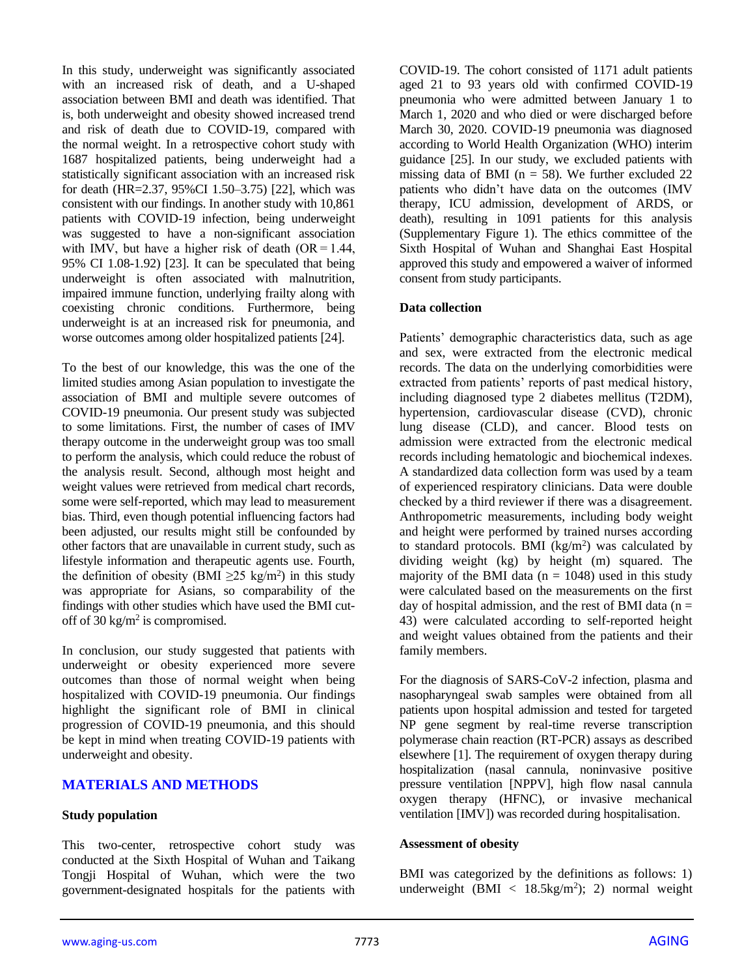In this study, underweight was significantly associated with an increased risk of death, and a U-shaped association between BMI and death was identified. That is, both underweight and obesity showed increased trend and risk of death due to COVID-19, compared with the normal weight. In a retrospective cohort study with 1687 hospitalized patients, being underweight had a statistically significant association with an increased risk for death (HR=2.37, 95%CI 1.50–3.75) [22], which was consistent with our findings. In another study with 10,861 patients with COVID-19 infection, being underweight was suggested to have a non-significant association with IMV, but have a higher risk of death  $OR = 1.44$ , 95% CI 1.08-1.92) [23]. It can be speculated that being underweight is often associated with malnutrition, impaired immune function, underlying frailty along with coexisting chronic conditions. Furthermore, being underweight is at an increased risk for pneumonia, and worse outcomes among older hospitalized patients [24].

To the best of our knowledge, this was the one of the limited studies among Asian population to investigate the association of BMI and multiple severe outcomes of COVID-19 pneumonia. Our present study was subjected to some limitations. First, the number of cases of IMV therapy outcome in the underweight group was too small to perform the analysis, which could reduce the robust of the analysis result. Second, although most height and weight values were retrieved from medical chart records, some were self-reported, which may lead to measurement bias. Third, even though potential influencing factors had been adjusted, our results might still be confounded by other factors that are unavailable in current study, such as lifestyle information and therapeutic agents use. Fourth, the definition of obesity (BMI  $\geq$ 25 kg/m<sup>2</sup>) in this study was appropriate for Asians, so comparability of the findings with other studies which have used the BMI cutoff of 30 kg/m<sup>2</sup> is compromised.

In conclusion, our study suggested that patients with underweight or obesity experienced more severe outcomes than those of normal weight when being hospitalized with COVID-19 pneumonia. Our findings highlight the significant role of BMI in clinical progression of COVID-19 pneumonia, and this should be kept in mind when treating COVID-19 patients with underweight and obesity.

## **MATERIALS AND METHODS**

#### **Study population**

This two-center, retrospective cohort study was conducted at the Sixth Hospital of Wuhan and Taikang Tongji Hospital of Wuhan, which were the two government-designated hospitals for the patients with COVID-19. The cohort consisted of 1171 adult patients aged 21 to 93 years old with confirmed COVID-19 pneumonia who were admitted between January 1 to March 1, 2020 and who died or were discharged before March 30, 2020. COVID-19 pneumonia was diagnosed according to World Health Organization (WHO) interim guidance [25]. In our study, we excluded patients with missing data of BMI ( $n = 58$ ). We further excluded 22 patients who didn't have data on the outcomes (IMV therapy, ICU admission, development of ARDS, or death), resulting in 1091 patients for this analysis (Supplementary Figure 1). The ethics committee of the Sixth Hospital of Wuhan and Shanghai East Hospital approved this study and empowered a waiver of informed consent from study participants.

#### **Data collection**

Patients' demographic characteristics data, such as age and sex, were extracted from the electronic medical records. The data on the underlying comorbidities were extracted from patients' reports of past medical history, including diagnosed type 2 diabetes mellitus (T2DM), hypertension, cardiovascular disease (CVD), chronic lung disease (CLD), and cancer. Blood tests on admission were extracted from the electronic medical records including hematologic and biochemical indexes. A standardized data collection form was used by a team of experienced respiratory clinicians. Data were double checked by a third reviewer if there was a disagreement. Anthropometric measurements, including body weight and height were performed by trained nurses according to standard protocols. BMI  $(kg/m<sup>2</sup>)$  was calculated by dividing weight (kg) by height (m) squared. The majority of the BMI data ( $n = 1048$ ) used in this study were calculated based on the measurements on the first day of hospital admission, and the rest of BMI data ( $n =$ 43) were calculated according to self-reported height and weight values obtained from the patients and their family members.

For the diagnosis of SARS-CoV-2 infection, plasma and nasopharyngeal swab samples were obtained from all patients upon hospital admission and tested for targeted NP gene segment by real-time reverse transcription polymerase chain reaction (RT-PCR) assays as described elsewhere [1]. The requirement of oxygen therapy during hospitalization (nasal cannula, noninvasive positive pressure ventilation [NPPV], high flow nasal cannula oxygen therapy (HFNC), or invasive mechanical ventilation [IMV]) was recorded during hospitalisation.

#### **Assessment of obesity**

BMI was categorized by the definitions as follows: 1) underweight  $(BMI < 18.5 \text{kg/m}^2)$ ; 2) normal weight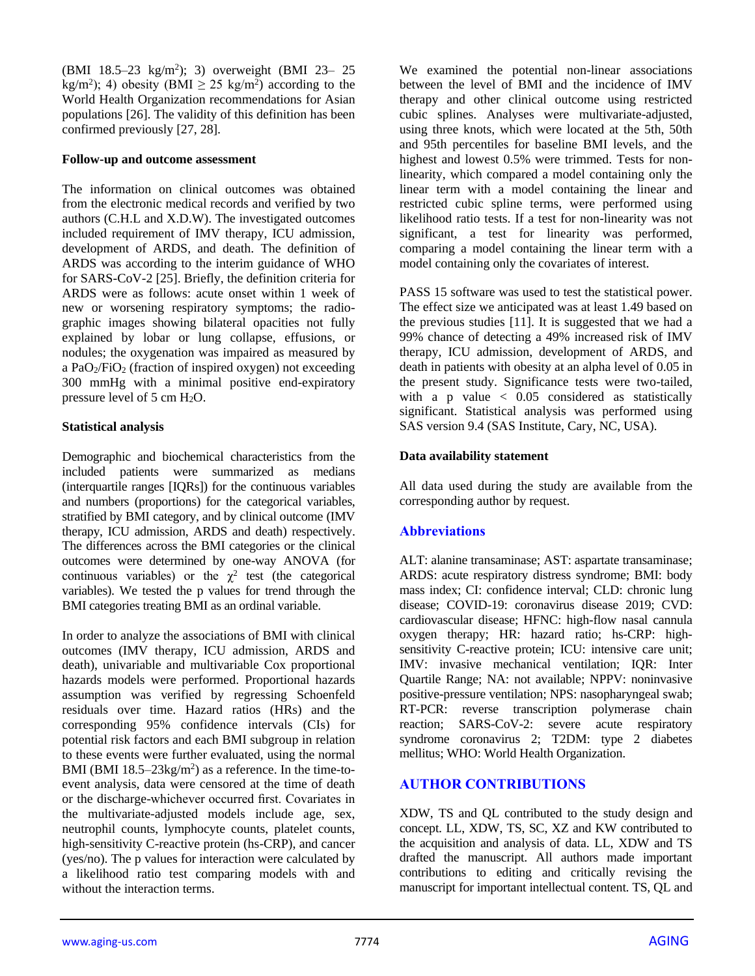(BMI 18.5-23 kg/m<sup>2</sup>); 3) overweight (BMI 23- 25 kg/m<sup>2</sup>); 4) obesity (BMI  $\geq$  25 kg/m<sup>2</sup>) according to the World Health Organization recommendations for Asian populations [26]. The validity of this definition has been confirmed previously [27, 28].

#### **Follow-up and outcome assessment**

The information on clinical outcomes was obtained from the electronic medical records and verified by two authors (C.H.L and X.D.W). The investigated outcomes included requirement of IMV therapy, ICU admission, development of ARDS, and death. The definition of ARDS was according to the interim guidance of WHO for SARS-CoV-2 [25]. Briefly, the definition criteria for ARDS were as follows: acute onset within 1 week of new or worsening respiratory symptoms; the radiographic images showing bilateral opacities not fully explained by lobar or lung collapse, effusions, or nodules; the oxygenation was impaired as measured by a PaO $2$ /FiO $2$  (fraction of inspired oxygen) not exceeding 300 mmHg with a minimal positive end-expiratory pressure level of 5 cm  $H_2O$ .

#### **Statistical analysis**

Demographic and biochemical characteristics from the included patients were summarized as medians (interquartile ranges [IQRs]) for the continuous variables and numbers (proportions) for the categorical variables, stratified by BMI category, and by clinical outcome (IMV therapy, ICU admission, ARDS and death) respectively. The differences across the BMI categories or the clinical outcomes were determined by one-way ANOVA (for continuous variables) or the  $\chi^2$  test (the categorical variables). We tested the p values for trend through the BMI categories treating BMI as an ordinal variable.

In order to analyze the associations of BMI with clinical outcomes (IMV therapy, ICU admission, ARDS and death), univariable and multivariable Cox proportional hazards models were performed. Proportional hazards assumption was verified by regressing Schoenfeld residuals over time. Hazard ratios (HRs) and the corresponding 95% confidence intervals (CIs) for potential risk factors and each BMI subgroup in relation to these events were further evaluated, using the normal BMI (BMI  $18.5-23\text{kg/m}^2$ ) as a reference. In the time-toevent analysis, data were censored at the time of death or the discharge-whichever occurred first. Covariates in the multivariate-adjusted models include age, sex, neutrophil counts, lymphocyte counts, platelet counts, high-sensitivity C-reactive protein (hs-CRP), and cancer (yes/no). The p values for interaction were calculated by a likelihood ratio test comparing models with and without the interaction terms.

We examined the potential non-linear associations between the level of BMI and the incidence of IMV therapy and other clinical outcome using restricted cubic splines. Analyses were multivariate-adjusted, using three knots, which were located at the 5th, 50th and 95th percentiles for baseline BMI levels, and the highest and lowest 0.5% were trimmed. Tests for nonlinearity, which compared a model containing only the linear term with a model containing the linear and restricted cubic spline terms, were performed using likelihood ratio tests. If a test for non-linearity was not significant, a test for linearity was performed, comparing a model containing the linear term with a model containing only the covariates of interest.

PASS 15 software was used to test the statistical power. The effect size we anticipated was at least 1.49 based on the previous studies [11]. It is suggested that we had a 99% chance of detecting a 49% increased risk of IMV therapy, ICU admission, development of ARDS, and death in patients with obesity at an alpha level of 0.05 in the present study. Significance tests were two-tailed, with a p value  $\langle 0.05 \rangle$  considered as statistically significant. Statistical analysis was performed using SAS version 9.4 (SAS Institute, Cary, NC, USA).

#### **Data availability statement**

All data used during the study are available from the corresponding author by request.

## **Abbreviations**

ALT: alanine transaminase; AST: aspartate transaminase; ARDS: acute respiratory distress syndrome; BMI: body mass index; CI: confidence interval; CLD: chronic lung disease; COVID-19: coronavirus disease 2019; CVD: cardiovascular disease; HFNC: high-flow nasal cannula oxygen therapy; HR: hazard ratio; hs-CRP: highsensitivity C-reactive protein; ICU: intensive care unit; IMV: invasive mechanical ventilation; IQR: Inter Quartile Range; NA: not available; NPPV: noninvasive positive-pressure ventilation; NPS: nasopharyngeal swab; RT-PCR: reverse transcription polymerase chain reaction; SARS-CoV-2: severe acute respiratory syndrome coronavirus 2; T2DM: type 2 diabetes mellitus; WHO: World Health Organization.

## **AUTHOR CONTRIBUTIONS**

XDW, TS and QL contributed to the study design and concept. LL, XDW, TS, SC, XZ and KW contributed to the acquisition and analysis of data. LL, XDW and TS drafted the manuscript. All authors made important contributions to editing and critically revising the manuscript for important intellectual content. TS, QL and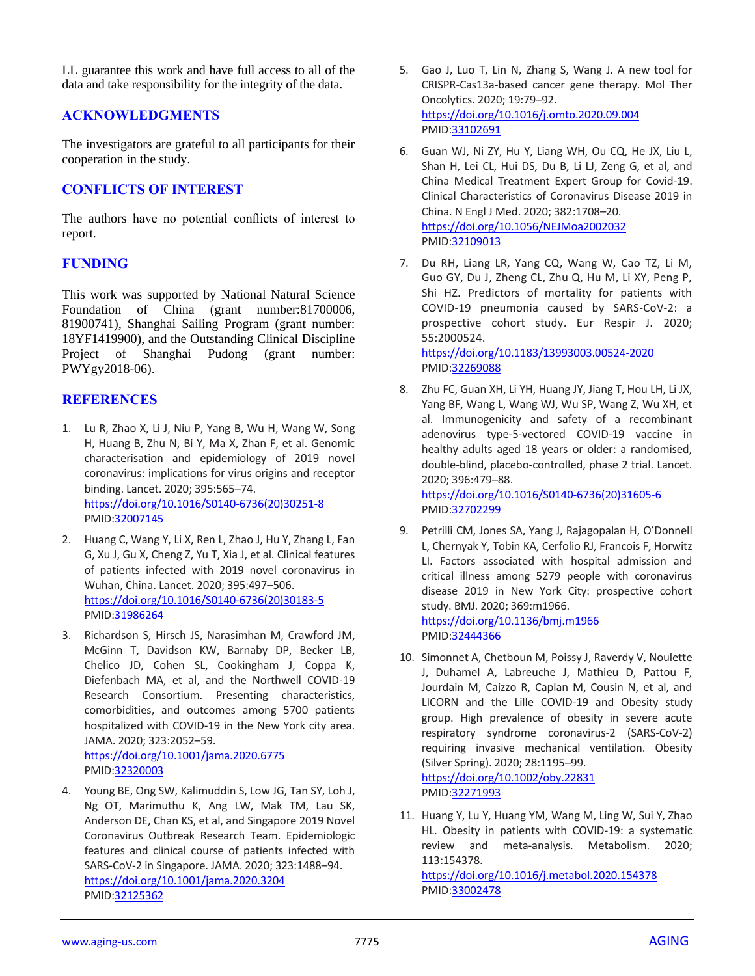LL guarantee this work and have full access to all of the data and take responsibility for the integrity of the data.

## **ACKNOWLEDGMENTS**

The investigators are grateful to all participants for their cooperation in the study.

## **CONFLICTS OF INTEREST**

The authors have no potential conflicts of interest to report.

# **FUNDING**

This work was supported by National Natural Science Foundation of China (grant number:81700006, 81900741), Shanghai Sailing Program (grant number: 18YF1419900), and the Outstanding Clinical Discipline Project of Shanghai Pudong (grant number: PWYgy2018-06).

# **REFERENCES**

- 1. Lu R, Zhao X, Li J, Niu P, Yang B, Wu H, Wang W, Song H, Huang B, Zhu N, Bi Y, Ma X, Zhan F, et al. Genomic characterisation and epidemiology of 2019 novel coronavirus: implications for virus origins and receptor binding. Lancet. 2020; 395:565–74. [https://doi.org/10.1016/S0140-6736\(20\)30251-8](https://doi.org/10.1016/S0140-6736(20)30251-8) PMID[:32007145](https://pubmed.ncbi.nlm.nih.gov/32007145)
- 2. Huang C, Wang Y, Li X, Ren L, Zhao J, Hu Y, Zhang L, Fan G, Xu J, Gu X, Cheng Z, Yu T, Xia J, et al. Clinical features of patients infected with 2019 novel coronavirus in Wuhan, China. Lancet. 2020; 395:497–506. [https://doi.org/10.1016/S0140-6736\(20\)30183-5](https://doi.org/10.1016/S0140-6736(20)30183-5) PMID[:31986264](https://pubmed.ncbi.nlm.nih.gov/31986264)
- 3. Richardson S, Hirsch JS, Narasimhan M, Crawford JM, McGinn T, Davidson KW, Barnaby DP, Becker LB, Chelico JD, Cohen SL, Cookingham J, Coppa K, Diefenbach MA, et al, and the Northwell COVID-19 Research Consortium. Presenting characteristics, comorbidities, and outcomes among 5700 patients hospitalized with COVID-19 in the New York city area. JAMA. 2020; 323:2052–59. <https://doi.org/10.1001/jama.2020.6775> PMID[:32320003](https://pubmed.ncbi.nlm.nih.gov/32320003)
- 4. Young BE, Ong SW, Kalimuddin S, Low JG, Tan SY, Loh J, Ng OT, Marimuthu K, Ang LW, Mak TM, Lau SK, Anderson DE, Chan KS, et al, and Singapore 2019 Novel Coronavirus Outbreak Research Team. Epidemiologic features and clinical course of patients infected with SARS-CoV-2 in Singapore. JAMA. 2020; 323:1488–94. <https://doi.org/10.1001/jama.2020.3204> PMID[:32125362](https://pubmed.ncbi.nlm.nih.gov/32125362)
- 5. Gao J, Luo T, Lin N, Zhang S, Wang J. A new tool for CRISPR-Cas13a-based cancer gene therapy. Mol Ther Oncolytics. 2020; 19:79–92. <https://doi.org/10.1016/j.omto.2020.09.004> PMI[D:33102691](https://pubmed.ncbi.nlm.nih.gov/33102691)
- 6. Guan WJ, Ni ZY, Hu Y, Liang WH, Ou CQ, He JX, Liu L, Shan H, Lei CL, Hui DS, Du B, Li LJ, Zeng G, et al, and China Medical Treatment Expert Group for Covid-19. Clinical Characteristics of Coronavirus Disease 2019 in China. N Engl J Med. 2020; 382:1708–20. <https://doi.org/10.1056/NEJMoa2002032> PMI[D:32109013](https://pubmed.ncbi.nlm.nih.gov/32109013)
- 7. Du RH, Liang LR, Yang CQ, Wang W, Cao TZ, Li M, Guo GY, Du J, Zheng CL, Zhu Q, Hu M, Li XY, Peng P, Shi HZ. Predictors of mortality for patients with COVID-19 pneumonia caused by SARS-CoV-2: a prospective cohort study. Eur Respir J. 2020; 55:2000524.

<https://doi.org/10.1183/13993003.00524-2020> PMI[D:32269088](https://pubmed.ncbi.nlm.nih.gov/32269088)

8. Zhu FC, Guan XH, Li YH, Huang JY, Jiang T, Hou LH, Li JX, Yang BF, Wang L, Wang WJ, Wu SP, Wang Z, Wu XH, et al. Immunogenicity and safety of a recombinant adenovirus type-5-vectored COVID-19 vaccine in healthy adults aged 18 years or older: a randomised, double-blind, placebo-controlled, phase 2 trial. Lancet. 2020; 396:479–88.

[https://doi.org/10.1016/S0140-6736\(20\)31605-6](https://doi.org/10.1016/S0140-6736(20)31605-6) PMI[D:32702299](https://pubmed.ncbi.nlm.nih.gov/32702299)

9. Petrilli CM, Jones SA, Yang J, Rajagopalan H, O'Donnell L, Chernyak Y, Tobin KA, Cerfolio RJ, Francois F, Horwitz LI. Factors associated with hospital admission and critical illness among 5279 people with coronavirus disease 2019 in New York City: prospective cohort study. BMJ. 2020; 369:m1966.

<https://doi.org/10.1136/bmj.m1966> PMI[D:32444366](https://pubmed.ncbi.nlm.nih.gov/32444366)

10. Simonnet A, Chetboun M, Poissy J, Raverdy V, Noulette J, Duhamel A, Labreuche J, Mathieu D, Pattou F, Jourdain M, Caizzo R, Caplan M, Cousin N, et al, and LICORN and the Lille COVID-19 and Obesity study group. High prevalence of obesity in severe acute respiratory syndrome coronavirus-2 (SARS-CoV-2) requiring invasive mechanical ventilation. Obesity (Silver Spring). 2020; 28:1195–99.

<https://doi.org/10.1002/oby.22831> PMI[D:32271993](https://pubmed.ncbi.nlm.nih.gov/32271993)

11. Huang Y, Lu Y, Huang YM, Wang M, Ling W, Sui Y, Zhao HL. Obesity in patients with COVID-19: a systematic review and meta-analysis. Metabolism. 2020; 113:154378.

<https://doi.org/10.1016/j.metabol.2020.154378> PMI[D:33002478](https://pubmed.ncbi.nlm.nih.gov/33002478)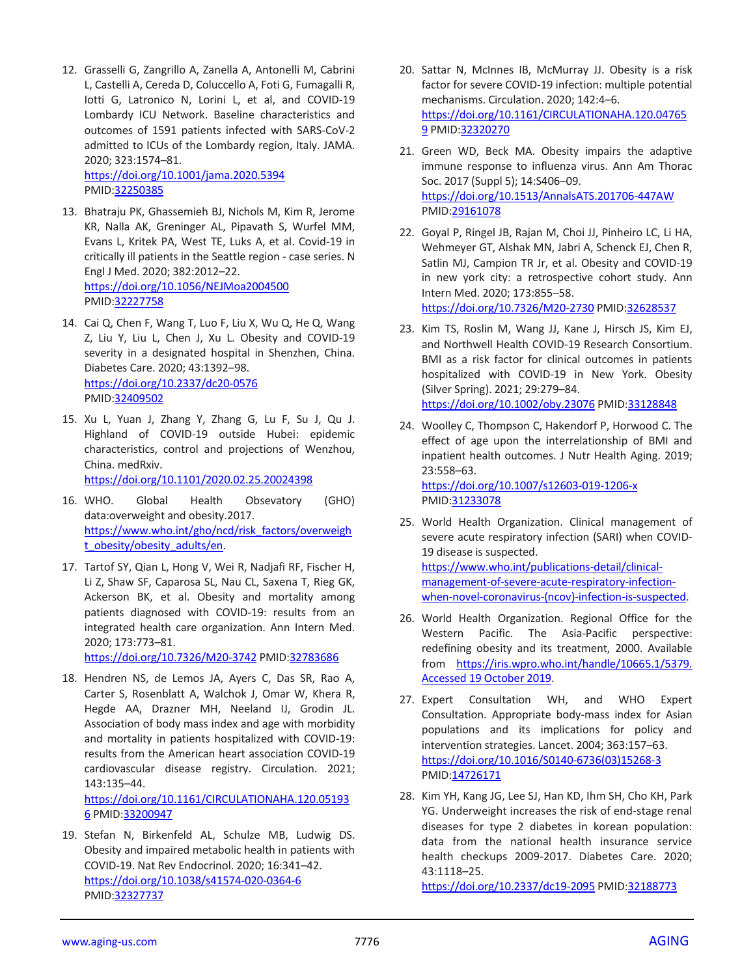12. Grasselli G, Zangrillo A, Zanella A, Antonelli M, Cabrini L, Castelli A, Cereda D, Coluccello A, Foti G, Fumagalli R, Iotti G, Latronico N, Lorini L, et al, and COVID-19 Lombardy ICU Network. Baseline characteristics and outcomes of 1591 patients infected with SARS-CoV-2 admitted to ICUs of the Lombardy region, Italy. JAMA. 2020; 323:1574–81. <https://doi.org/10.1001/jama.2020.5394>

PMID[:32250385](https://pubmed.ncbi.nlm.nih.gov/32250385)

- 13. Bhatraju PK, Ghassemieh BJ, Nichols M, Kim R, Jerome KR, Nalla AK, Greninger AL, Pipavath S, Wurfel MM, Evans L, Kritek PA, West TE, Luks A, et al. Covid-19 in critically ill patients in the Seattle region - case series. N Engl J Med. 2020; 382:2012–22. <https://doi.org/10.1056/NEJMoa2004500> PMID[:32227758](https://pubmed.ncbi.nlm.nih.gov/32227758)
- 14. Cai Q, Chen F, Wang T, Luo F, Liu X, Wu Q, He Q, Wang Z, Liu Y, Liu L, Chen J, Xu L. Obesity and COVID-19 severity in a designated hospital in Shenzhen, China. Diabetes Care. 2020; 43:1392–98. <https://doi.org/10.2337/dc20-0576> PMID[:32409502](https://pubmed.ncbi.nlm.nih.gov/32409502)
- 15. Xu L, Yuan J, Zhang Y, Zhang G, Lu F, Su J, Qu J. Highland of COVID-19 outside Hubei: epidemic characteristics, control and projections of Wenzhou, China. medRxiv.

<https://doi.org/10.1101/2020.02.25.20024398>

- 16. WHO. Global Health Obsevatory (GHO) data:overweight and obesity.2017. [https://www.who.int/gho/ncd/risk\\_factors/overweigh](https://www.who.int/gho/ncd/risk_factors/overweight_obesity/obesity_adults/en) [t\\_obesity/obesity\\_adults/en.](https://www.who.int/gho/ncd/risk_factors/overweight_obesity/obesity_adults/en)
- 17. Tartof SY, Qian L, Hong V, Wei R, Nadjafi RF, Fischer H, Li Z, Shaw SF, Caparosa SL, Nau CL, Saxena T, Rieg GK, Ackerson BK, et al. Obesity and mortality among patients diagnosed with COVID-19: results from an integrated health care organization. Ann Intern Med. 2020; 173:773–81.

<https://doi.org/10.7326/M20-3742> PMID[:32783686](https://pubmed.ncbi.nlm.nih.gov/32783686)

18. Hendren NS, de Lemos JA, Ayers C, Das SR, Rao A, Carter S, Rosenblatt A, Walchok J, Omar W, Khera R, Hegde AA, Drazner MH, Neeland IJ, Grodin JL. Association of body mass index and age with morbidity and mortality in patients hospitalized with COVID-19: results from the American heart association COVID-19 cardiovascular disease registry. Circulation. 2021; 143:135–44.

[https://doi.org/10.1161/CIRCULATIONAHA.120.05193](https://doi.org/10.1161/CIRCULATIONAHA.120.051936) [6](https://doi.org/10.1161/CIRCULATIONAHA.120.051936) PMID[:33200947](https://pubmed.ncbi.nlm.nih.gov/33200947)

19. Stefan N, Birkenfeld AL, Schulze MB, Ludwig DS. Obesity and impaired metabolic health in patients with COVID-19. Nat Rev Endocrinol. 2020; 16:341–42. <https://doi.org/10.1038/s41574-020-0364-6> PMID[:32327737](https://pubmed.ncbi.nlm.nih.gov/32327737)

- 20. Sattar N, McInnes IB, McMurray JJ. Obesity is a risk factor for severe COVID-19 infection: multiple potential mechanisms. Circulation. 2020; 142:4–6. [https://doi.org/10.1161/CIRCULATIONAHA.120.04765](https://doi.org/10.1161/CIRCULATIONAHA.120.047659) [9](https://doi.org/10.1161/CIRCULATIONAHA.120.047659) PMI[D:32320270](https://pubmed.ncbi.nlm.nih.gov/32320270)
- 21. Green WD, Beck MA. Obesity impairs the adaptive immune response to influenza virus. Ann Am Thorac Soc. 2017 (Suppl 5); 14:S406–09. <https://doi.org/10.1513/AnnalsATS.201706-447AW> PMI[D:29161078](https://pubmed.ncbi.nlm.nih.gov/29161078)
- 22. Goyal P, Ringel JB, Rajan M, Choi JJ, Pinheiro LC, Li HA, Wehmeyer GT, Alshak MN, Jabri A, Schenck EJ, Chen R, Satlin MJ, Campion TR Jr, et al. Obesity and COVID-19 in new york city: a retrospective cohort study. Ann Intern Med. 2020; 173:855–58. <https://doi.org/10.7326/M20-2730> PMI[D:32628537](https://pubmed.ncbi.nlm.nih.gov/32628537)
- 23. Kim TS, Roslin M, Wang JJ, Kane J, Hirsch JS, Kim EJ, and Northwell Health COVID-19 Research Consortium. BMI as a risk factor for clinical outcomes in patients hospitalized with COVID-19 in New York. Obesity (Silver Spring). 2021; 29:279–84. <https://doi.org/10.1002/oby.23076> PMID[:33128848](https://pubmed.ncbi.nlm.nih.gov/33128848)
- 24. Woolley C, Thompson C, Hakendorf P, Horwood C. The effect of age upon the interrelationship of BMI and inpatient health outcomes. J Nutr Health Aging. 2019; 23:558–63. <https://doi.org/10.1007/s12603-019-1206-x>

PMI[D:31233078](https://pubmed.ncbi.nlm.nih.gov/31233078)

- 25. World Health Organization. Clinical management of severe acute respiratory infection (SARI) when COVID-19 disease is suspected. [https://www.who.int/publications-detail/clinical](https://www.who.int/publications-detail/clinical-management-of-severe-acute-respiratory-infection-when-novel-coronavirus-(ncov)-infection-is-suspected)[management-of-severe-acute-respiratory-infection](https://www.who.int/publications-detail/clinical-management-of-severe-acute-respiratory-infection-when-novel-coronavirus-(ncov)-infection-is-suspected)[when-novel-coronavirus-\(ncov\)-infection-is-suspected.](https://www.who.int/publications-detail/clinical-management-of-severe-acute-respiratory-infection-when-novel-coronavirus-(ncov)-infection-is-suspected)
- 26. World Health Organization. Regional Office for the Western Pacific. The Asia-Pacific perspective: redefining obesity and its treatment, 2000. Available from [https://iris.wpro.who.int/handle/10665.1/5379.](https://iris.wpro.who.int/handle/10665.1/5379.%20Accessed%2019%20October%202019)  [Accessed 19 October 2019.](https://iris.wpro.who.int/handle/10665.1/5379.%20Accessed%2019%20October%202019)
- 27. Expert Consultation WH, and WHO Expert Consultation. Appropriate body-mass index for Asian populations and its implications for policy and intervention strategies. Lancet. 2004; 363:157–63. [https://doi.org/10.1016/S0140-6736\(03\)15268-3](https://doi.org/10.1016/S0140-6736(03)15268-3) PMI[D:14726171](https://pubmed.ncbi.nlm.nih.gov/14726171)
- 28. Kim YH, Kang JG, Lee SJ, Han KD, Ihm SH, Cho KH, Park YG. Underweight increases the risk of end-stage renal diseases for type 2 diabetes in korean population: data from the national health insurance service health checkups 2009-2017. Diabetes Care. 2020; 43:1118–25.

<https://doi.org/10.2337/dc19-2095> PMID[:32188773](https://pubmed.ncbi.nlm.nih.gov/32188773)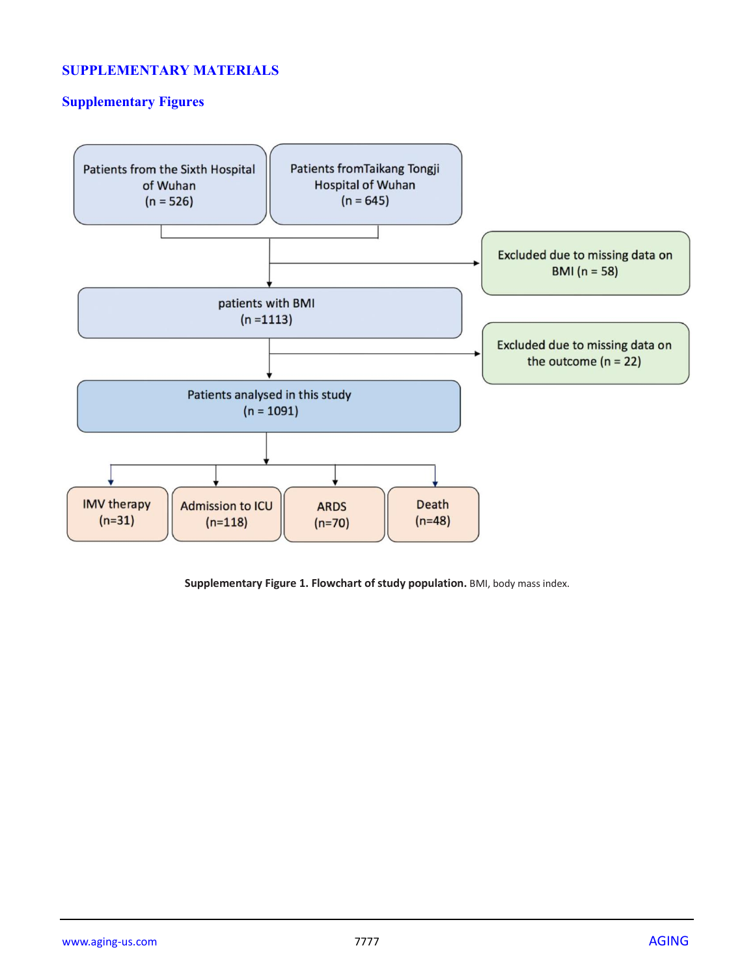# **SUPPLEMENTARY MATERIALS**

# **Supplementary Figures**



**Supplementary Figure 1. Flowchart of study population.** BMI, body mass index.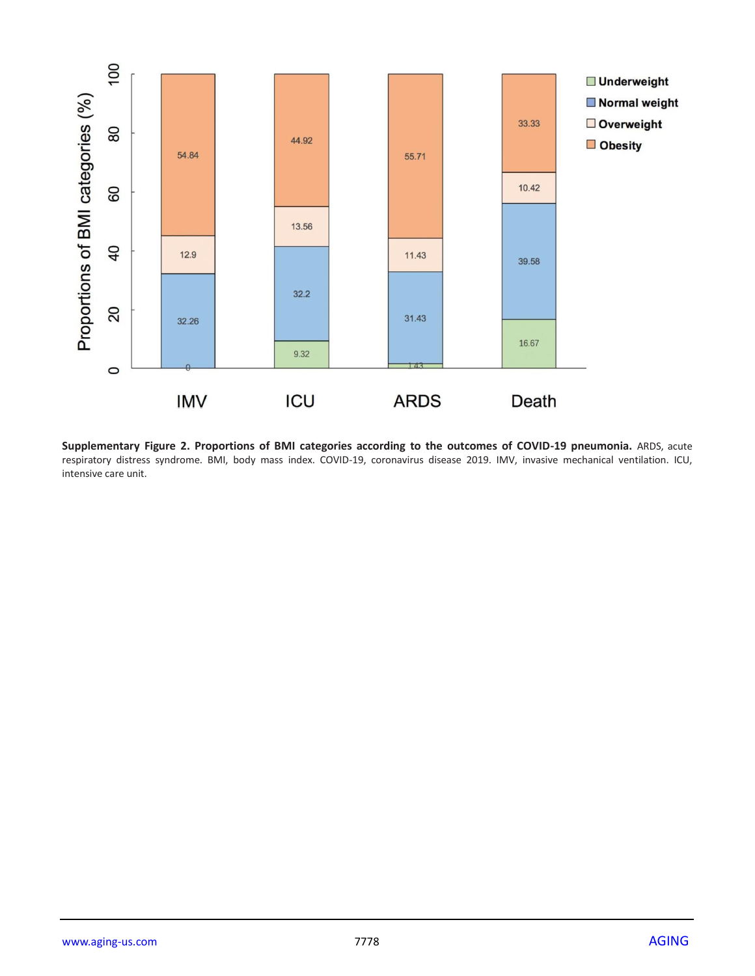

**Supplementary Figure 2. Proportions of BMI categories according to the outcomes of COVID-19 pneumonia.** ARDS, acute respiratory distress syndrome. BMI, body mass index. COVID-19, coronavirus disease 2019. IMV, invasive mechanical ventilation. ICU, intensive care unit.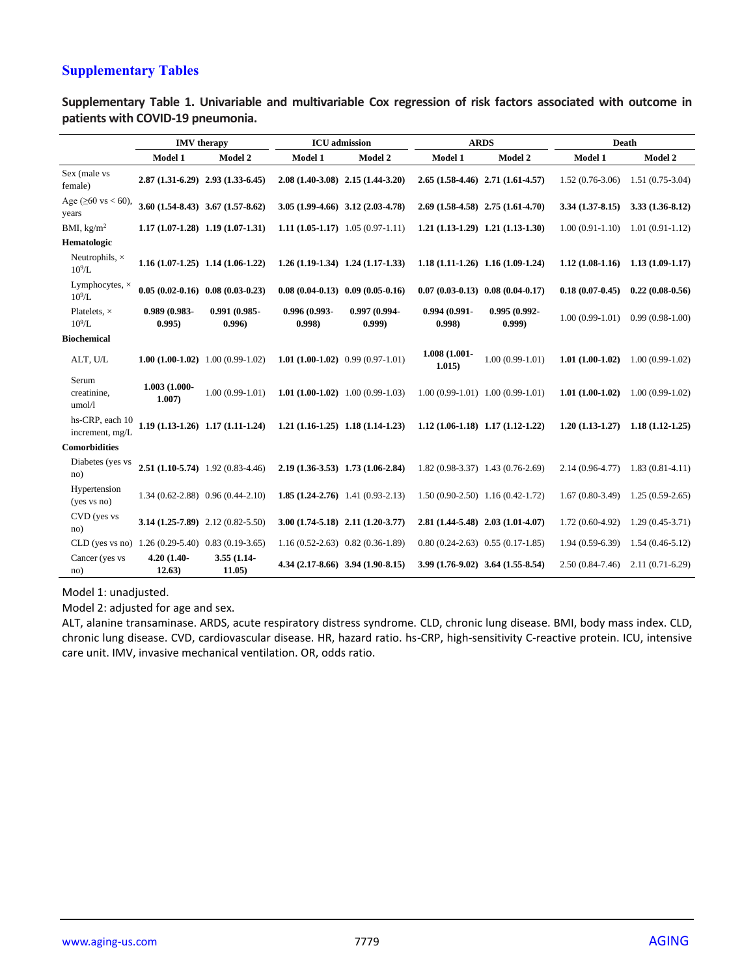# **Supplementary Tables**

**Supplementary Table 1. Univariable and multivariable Cox regression of risk factors associated with outcome in patients with COVID-19 pneumonia.**

|                                                    |                         | <b>IMV</b> therapy                    |                          | <b>ICU</b> admission                      | <b>ARDS</b>                         |                                      | Death               |                     |
|----------------------------------------------------|-------------------------|---------------------------------------|--------------------------|-------------------------------------------|-------------------------------------|--------------------------------------|---------------------|---------------------|
|                                                    | Model 1                 | Model 2                               | Model 1                  | <b>Model 2</b>                            | Model 1                             | Model 2                              | Model 1             | <b>Model 2</b>      |
| Sex (male vs<br>female)                            |                         | 2.87 (1.31-6.29) 2.93 (1.33-6.45)     |                          | $2.08(1.40-3.08)$ $2.15(1.44-3.20)$       |                                     | 2.65 (1.58-4.46) 2.71 (1.61-4.57)    | $1.52(0.76-3.06)$   | $1.51(0.75-3.04)$   |
| Age ( $\geq 60$ vs < 60),<br>years                 |                         | $3.60(1.54-8.43)$ $3.67(1.57-8.62)$   |                          | $3.05(1.99-4.66)$ $3.12(2.03-4.78)$       |                                     | $2.69(1.58-4.58)$ $2.75(1.61-4.70)$  | $3.34(1.37-8.15)$   | $3.33(1.36-8.12)$   |
| BMI, $\text{kg/m}^2$                               |                         | $1.17(1.07-1.28)$ 1.19 $(1.07-1.31)$  |                          | 1.11 $(1.05-1.17)$ 1.05 $(0.97-1.11)$     | $1.21(1.13-1.29)$ $1.21(1.13-1.30)$ |                                      | $1.00(0.91-1.10)$   | $1.01(0.91-1.12)$   |
| Hematologic                                        |                         |                                       |                          |                                           |                                     |                                      |                     |                     |
| Neutrophils, $\times$<br>$10^9$ /L                 |                         | $1.16(1.07-1.25)$ 1.14 (1.06-1.22)    |                          | $1.26(1.19-1.34)$ $1.24(1.17-1.33)$       | $1.18(1.11-1.26)$ $1.16(1.09-1.24)$ |                                      | $1.12(1.08-1.16)$   | $1.13(1.09-1.17)$   |
| Lymphocytes, $\times$<br>$10^9$ /L                 |                         | $0.05(0.02-0.16)$ $0.08(0.03-0.23)$   |                          | $0.08(0.04-0.13)$ $0.09(0.05-0.16)$       | $0.07(0.03-0.13)$ $0.08(0.04-0.17)$ |                                      | $0.18(0.07-0.45)$   | $0.22(0.08-0.56)$   |
| Platelets, $\times$<br>$10^9$ /L                   | 0.989 (0.983-<br>0.995  | 0.991 (0.985-<br>0.996                | 0.996 (0.993-<br>(0.998) | 0.997 (0.994-<br>(0.999)                  | $0.994(0.991 -$<br>0.998            | 0.995 (0.992-<br>(0.999)             | $1.00(0.99-1.01)$   | $0.99(0.98-1.00)$   |
| <b>Biochemical</b>                                 |                         |                                       |                          |                                           |                                     |                                      |                     |                     |
| ALT, U/L                                           |                         | 1.00 $(1.00-1.02)$ 1.00 $(0.99-1.02)$ |                          | 1.01 $(1.00-1.02)$ 0.99 $(0.97-1.01)$     | $1.008(1.001 -$<br>1.015)           | $1.00(0.99-1.01)$                    | $1.01(1.00-1.02)$   | $1.00(0.99-1.02)$   |
| Serum<br>creatinine,<br>umol/l                     | 1.003 (1.000-<br>1.007) | $1.00(0.99-1.01)$                     |                          | 1.01 $(1.00-1.02)$ 1.00 $(0.99-1.03)$     |                                     | $1.00(0.99-1.01)$ $1.00(0.99-1.01)$  | $1.01(1.00-1.02)$   | $1.00(0.99-1.02)$   |
| hs-CRP, each 10<br>increment, mg/L                 |                         | $1.19(1.13-1.26)$ $1.17(1.11-1.24)$   |                          | $1,21$ $(1,16-1,25)$ $1,18$ $(1,14-1,23)$ | $1.12(1.06-1.18)$ $1.17(1.12-1.22)$ |                                      | $1,20(1,13-1,27)$   | $1.18(1.12 - 1.25)$ |
| <b>Comorbidities</b>                               |                         |                                       |                          |                                           |                                     |                                      |                     |                     |
| Diabetes (yes vs<br>no)                            |                         | $2.51(1.10-5.74)$ 1.92 (0.83-4.46)    |                          | 2.19 (1.36-3.53) 1.73 (1.06-2.84)         |                                     | $1.82(0.98-3.37)$ 1.43 $(0.76-2.69)$ | $2.14(0.96 - 4.77)$ | $1.83(0.81-4.11)$   |
| Hypertension<br>(yes vs no)                        |                         | 1.34 (0.62-2.88) 0.96 (0.44-2.10)     |                          | 1.85 $(1.24 - 2.76)$ 1.41 $(0.93 - 2.13)$ |                                     | $1.50(0.90-2.50)$ $1.16(0.42-1.72)$  | $1.67(0.80-3.49)$   | $1.25(0.59-2.65)$   |
| CVD (yes vs<br>no)                                 |                         | 3.14 $(1.25-7.89)$ 2.12 $(0.82-5.50)$ |                          | $3.00(1.74-5.18)$ $2.11(1.20-3.77)$       | 2.81 (1.44-5.48) 2.03 (1.01-4.07)   |                                      | $1.72(0.60-4.92)$   | $1.29(0.45-3.71)$   |
| CLD (yes vs no) $1.26(0.29-5.40)$ 0.83 (0.19-3.65) |                         |                                       |                          | $1.16(0.52 - 2.63)$ $0.82(0.36 - 1.89)$   | $0.80(0.24-2.63)$ $0.55(0.17-1.85)$ |                                      | $1.94(0.59-6.39)$   | $1.54(0.46-5.12)$   |
| Cancer (yes vs<br>no)                              | 4.20 (1.40-<br>12.63)   | $3.55(1.14-$<br>11.05                 |                          | $4.34(2.17-8.66)$ $3.94(1.90-8.15)$       | $3.99(1.76-9.02)$ $3.64(1.55-8.54)$ |                                      | $2.50(0.84 - 7.46)$ | $2.11(0.71-6.29)$   |

Model 1: unadjusted.

Model 2: adjusted for age and sex.

ALT, alanine transaminase. ARDS, acute respiratory distress syndrome. CLD, chronic lung disease. BMI, body mass index. CLD, chronic lung disease. CVD, cardiovascular disease. HR, hazard ratio. hs-CRP, high-sensitivity C-reactive protein. ICU, intensive care unit. IMV, invasive mechanical ventilation. OR, odds ratio.